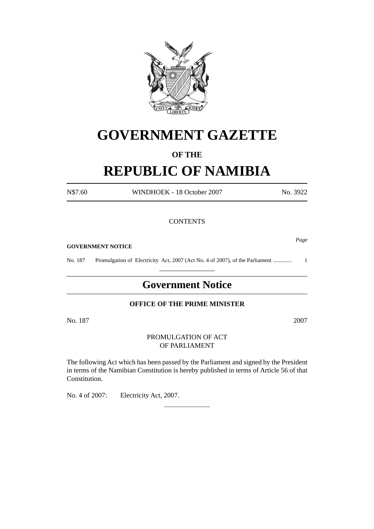

# **GOVERNMENT GAZETTE**

# **OF THE**

# **REPUBLIC OF NAMIBIA**

N\$7.60 WINDHOEK - 18 October 2007 No. 3922

### **CONTENTS**

**GOVERNMENT NOTICE**

No. 187 Promulgation of Electricity Act, 2007 (Act No. 4 of 2007), of the Parliament ............. 1 \_\_\_\_\_\_\_\_\_\_\_\_\_\_\_\_

# **Government Notice**

### **OFFICE OF THE PRIME MINISTER**

No. 187 2007

### PROMULGATION OF ACT OF PARLIAMENT

The following Act which has been passed by the Parliament and signed by the President in terms of the Namibian Constitution is hereby published in terms of Article 56 of that Constitution.

\_\_\_\_\_\_\_\_\_\_\_\_\_\_\_\_\_

No. 4 of 2007: Electricity Act, 2007.

*Page*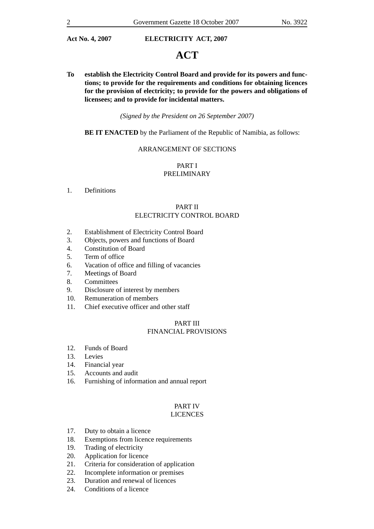# **ACT**

**To establish the Electricity Control Board and provide for its powers and functions; to provide for the requirements and conditions for obtaining licences for the provision of electricity; to provide for the powers and obligations of licensees; and to provide for incidental matters.**

*(Signed by the President on 26 September 2007)*

#### **BE IT ENACTED** by the Parliament of the Republic of Namibia, as follows:

### ARRANGEMENT OF SECTIONS

### PART I PRELIMINARY

1. Definitions

#### PART II ELECTRICITY CONTROL BOARD

- 2. Establishment of Electricity Control Board
- 3. Objects, powers and functions of Board
- 4. Constitution of Board
- 5. Term of office
- 6. Vacation of office and filling of vacancies
- 7. Meetings of Board
- 8. Committees
- 9. Disclosure of interest by members
- 10. Remuneration of members
- 11. Chief executive officer and other staff

#### PART III FINANCIAL PROVISIONS

- 12. Funds of Board
- 13. Levies
- 14. Financial year
- 15. Accounts and audit
- 16. Furnishing of information and annual report

## PART IV

## LICENCES

- 17. Duty to obtain a licence
- 18. Exemptions from licence requirements
- 19. Trading of electricity
- 20. Application for licence
- 21. Criteria for consideration of application
- 22. Incomplete information or premises
- 23. Duration and renewal of licences
- 24. Conditions of a licence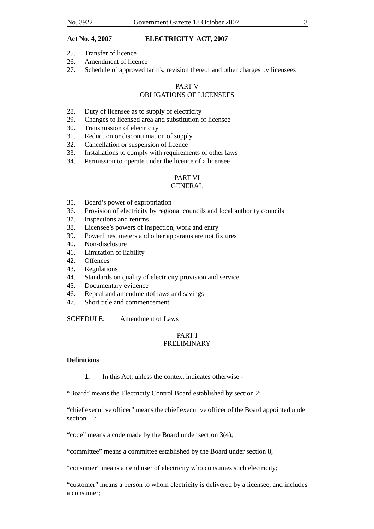- 25. Transfer of licence
- 26. Amendment of licence
- 27. Schedule of approved tariffs, revision thereof and other charges by licensees

### PART V OBLIGATIONS OF LICENSEES

- 28. Duty of licensee as to supply of electricity
- 29. Changes to licensed area and substitution of licensee
- 30. Transmission of electricity
- 31. Reduction or discontinuation of supply
- 32. Cancellation or suspension of licence
- 33. Installations to comply with requirements of other laws
- 34. Permission to operate under the licence of a licensee

### PART VI

### **GENERAL**

- 35. Board's power of expropriation
- 36. Provision of electricity by regional councils and local authority councils
- 37. Inspections and returns
- 38. Licensee's powers of inspection, work and entry
- 39. Powerlines, meters and other apparatus are not fixtures
- 40. Non-disclosure
- 41. Limitation of liability
- 42. Offences
- 43. Regulations
- 44. Standards on quality of electricity provision and service
- 45. Documentary evidence
- 46. Repeal and amendmentof laws and savings
- 47. Short title and commencement

SCHEDULE: Amendment of Laws

### PART I PRELIMINARY

#### **Definitions**

**1.** In this Act, unless the context indicates otherwise -

"Board" means the Electricity Control Board established by section 2;

"chief executive officer" means the chief executive officer of the Board appointed under section 11;

"code" means a code made by the Board under section 3(4);

"committee" means a committee established by the Board under section 8;

"consumer" means an end user of electricity who consumes such electricity;

"customer" means a person to whom electricity is delivered by a licensee, and includes a consumer;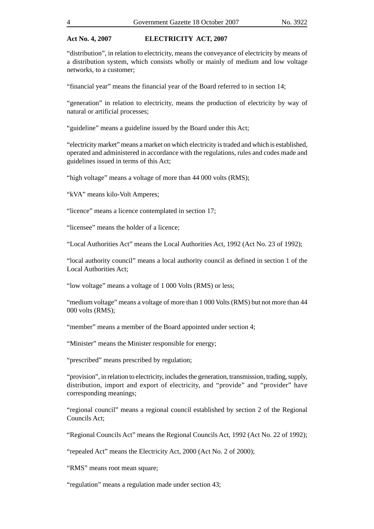"distribution", in relation to electricity, means the conveyance of electricity by means of a distribution system, which consists wholly or mainly of medium and low voltage networks, to a customer;

"financial year" means the financial year of the Board referred to in section 14;

"generation" in relation to electricity, means the production of electricity by way of natural or artificial processes;

"guideline" means a guideline issued by the Board under this Act;

"electricity market" means a market on which electricity is traded and which is established, operated and administered in accordance with the regulations, rules and codes made and guidelines issued in terms of this Act;

"high voltage" means a voltage of more than 44 000 volts (RMS);

"kVA" means kilo-Volt Amperes;

"licence" means a licence contemplated in section 17;

"licensee" means the holder of a licence;

"Local Authorities Act" means the Local Authorities Act, 1992 (Act No. 23 of 1992);

"local authority council" means a local authority council as defined in section 1 of the Local Authorities Act;

"low voltage" means a voltage of 1 000 Volts (RMS) or less;

"medium voltage" means a voltage of more than 1 000 Volts (RMS) but not more than 44 000 volts (RMS);

"member" means a member of the Board appointed under section 4;

"Minister" means the Minister responsible for energy;

"prescribed" means prescribed by regulation;

"provision", in relation to electricity, includes the generation, transmission, trading, supply, distribution, import and export of electricity, and "provide" and "provider" have corresponding meanings;

"regional council" means a regional council established by section 2 of the Regional Councils Act;

"Regional Councils Act" means the Regional Councils Act, 1992 (Act No. 22 of 1992);

"repealed Act" means the Electricity Act, 2000 (Act No. 2 of 2000);

"RMS" means root mean square;

"regulation" means a regulation made under section 43;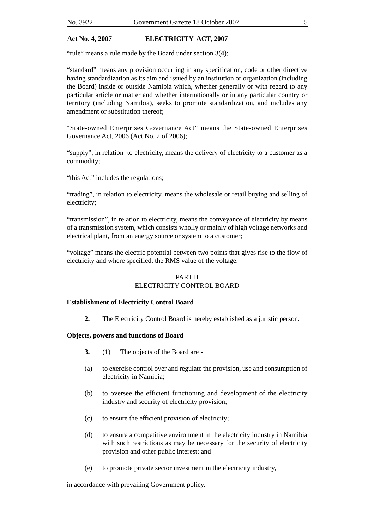"rule" means a rule made by the Board under section 3(4);

"standard" means any provision occurring in any specification, code or other directive having standardization as its aim and issued by an institution or organization (including the Board) inside or outside Namibia which, whether generally or with regard to any particular article or matter and whether internationally or in any particular country or territory (including Namibia), seeks to promote standardization, and includes any amendment or substitution thereof;

"State-owned Enterprises Governance Act" means the State-owned Enterprises Governance Act, 2006 (Act No. 2 of 2006);

"supply", in relation to electricity, means the delivery of electricity to a customer as a commodity;

"this Act" includes the regulations;

"trading", in relation to electricity, means the wholesale or retail buying and selling of electricity;

"transmission", in relation to electricity, means the conveyance of electricity by means of a transmission system, which consists wholly or mainly of high voltage networks and electrical plant, from an energy source or system to a customer;

"voltage" means the electric potential between two points that gives rise to the flow of electricity and where specified, the RMS value of the voltage.

#### PART II

### ELECTRICITY CONTROL BOARD

#### **Establishment of Electricity Control Board**

**2.** The Electricity Control Board is hereby established as a juristic person.

#### **Objects, powers and functions of Board**

- **3.** (1) The objects of the Board are -
- (a) to exercise control over and regulate the provision, use and consumption of electricity in Namibia;
- (b) to oversee the efficient functioning and development of the electricity industry and security of electricity provision;
- (c) to ensure the efficient provision of electricity;
- (d) to ensure a competitive environment in the electricity industry in Namibia with such restrictions as may be necessary for the security of electricity provision and other public interest; and
- (e) to promote private sector investment in the electricity industry,

in accordance with prevailing Government policy.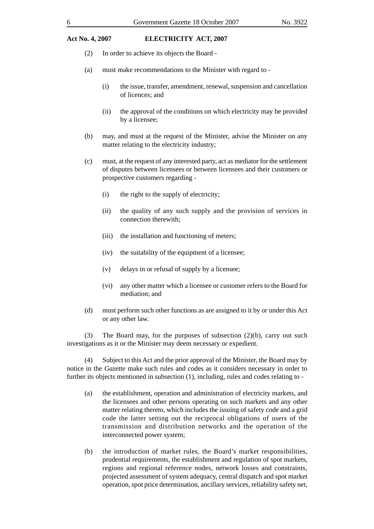- (2) In order to achieve its objects the Board -
- (a) must make recommendations to the Minister with regard to
	- (i) the issue, transfer, amendment, renewal, suspension and cancellation of licences; and
	- (ii) the approval of the conditions on which electricity may be provided by a licensee;
- (b) may, and must at the request of the Minister, advise the Minister on any matter relating to the electricity industry;
- (c) must, at the request of any interested party, act as mediator for the settlement of disputes between licensees or between licensees and their customers or prospective customers regarding -
	- (i) the right to the supply of electricity;
	- (ii) the quality of any such supply and the provision of services in connection therewith;
	- (iii) the installation and functioning of meters;
	- (iv) the suitability of the equipment of a licensee;
	- (v) delays in or refusal of supply by a licensee;
	- (vi) any other matter which a licensee or customer refers to the Board for mediation; and
- (d) must perform such other functions as are assigned to it by or under this Act or any other law.

(3) The Board may, for the purposes of subsection (2)(b), carry out such investigations as it or the Minister may deem necessary or expedient.

(4) Subject to this Act and the prior approval of the Minister, the Board may by notice in the *Gazette* make such rules and codes as it considers necessary in order to further its objects mentioned in subsection (1), including, rules and codes relating to -

- (a) the establishment, operation and administration of electricity markets, and the licensees and other persons operating on such markets and any other matter relating thereto, which includes the issuing of safety code and a grid code the latter setting out the reciprocal obligations of users of the transmission and distribution networks and the operation of the interconnected power system;
- (b) the introduction of market rules, the Board's market responsibilities, prudential requirements, the establishment and regulation of spot markets, regions and regional reference nodes, network losses and constraints, projected assessment of system adequacy, central dispatch and spot market operation, spot price determination, ancillary services, reliability safety net,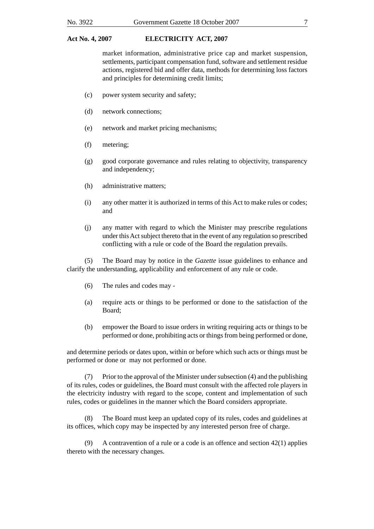market information, administrative price cap and market suspension, settlements, participant compensation fund, software and settlement residue actions, registered bid and offer data, methods for determining loss factors and principles for determining credit limits;

- (c) power system security and safety;
- (d) network connections;
- (e) network and market pricing mechanisms;
- (f) metering;
- (g) good corporate governance and rules relating to objectivity, transparency and independency;
- (h) administrative matters;
- (i) any other matter it is authorized in terms of this Act to make rules or codes; and
- (j) any matter with regard to which the Minister may prescribe regulations under this Act subject thereto that in the event of any regulation so prescribed conflicting with a rule or code of the Board the regulation prevails.

(5) The Board may by notice in the *Gazette* issue guidelines to enhance and clarify the understanding, applicability and enforcement of any rule or code.

- (6) The rules and codes may -
- (a) require acts or things to be performed or done to the satisfaction of the Board;
- (b) empower the Board to issue orders in writing requiring acts or things to be performed or done, prohibiting acts or things from being performed or done,

and determine periods or dates upon, within or before which such acts or things must be performed or done or may not performed or done.

(7) Prior to the approval of the Minister under subsection (4) and the publishing of its rules, codes or guidelines, the Board must consult with the affected role players in the electricity industry with regard to the scope, content and implementation of such rules, codes or guidelines in the manner which the Board considers appropriate.

(8) The Board must keep an updated copy of its rules, codes and guidelines at its offices, which copy may be inspected by any interested person free of charge.

(9) A contravention of a rule or a code is an offence and section 42(1) applies thereto with the necessary changes.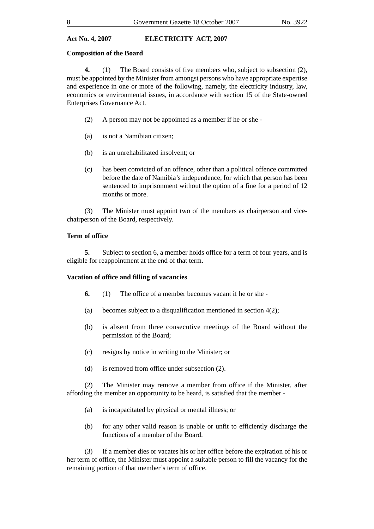#### **Composition of the Board**

**4.** (1) The Board consists of five members who, subject to subsection (2), must be appointed by the Minister from amongst persons who have appropriate expertise and experience in one or more of the following, namely, the electricity industry, law, economics or environmental issues, in accordance with section 15 of the State-owned Enterprises Governance Act.

- (2) A person may not be appointed as a member if he or she -
- (a) is not a Namibian citizen;
- (b) is an unrehabilitated insolvent; or
- (c) has been convicted of an offence, other than a political offence committed before the date of Namibia's independence, for which that person has been sentenced to imprisonment without the option of a fine for a period of 12 months or more.

(3) The Minister must appoint two of the members as chairperson and vicechairperson of the Board, respectively.

#### **Term of office**

**5.** Subject to section 6, a member holds office for a term of four years, and is eligible for reappointment at the end of that term.

#### **Vacation of office and filling of vacancies**

- **6.** (1) The office of a member becomes vacant if he or she -
- (a) becomes subject to a disqualification mentioned in section 4(2);
- (b) is absent from three consecutive meetings of the Board without the permission of the Board;
- (c) resigns by notice in writing to the Minister; or
- (d) is removed from office under subsection (2).

(2) The Minister may remove a member from office if the Minister, after affording the member an opportunity to be heard, is satisfied that the member -

- (a) is incapacitated by physical or mental illness; or
- (b) for any other valid reason is unable or unfit to efficiently discharge the functions of a member of the Board.

(3) If a member dies or vacates his or her office before the expiration of his or her term of office, the Minister must appoint a suitable person to fill the vacancy for the remaining portion of that member's term of office.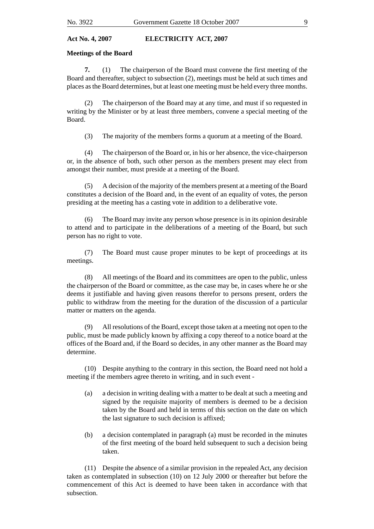#### **Meetings of the Board**

**7.** (1) The chairperson of the Board must convene the first meeting of the Board and thereafter, subject to subsection (2), meetings must be held at such times and places as the Board determines, but at least one meeting must be held every three months.

(2) The chairperson of the Board may at any time, and must if so requested in writing by the Minister or by at least three members, convene a special meeting of the Board.

(3) The majority of the members forms a quorum at a meeting of the Board.

(4) The chairperson of the Board or, in his or her absence, the vice-chairperson or, in the absence of both, such other person as the members present may elect from amongst their number, must preside at a meeting of the Board.

(5) A decision of the majority of the members present at a meeting of the Board constitutes a decision of the Board and, in the event of an equality of votes, the person presiding at the meeting has a casting vote in addition to a deliberative vote.

(6) The Board may invite any person whose presence is in its opinion desirable to attend and to participate in the deliberations of a meeting of the Board, but such person has no right to vote.

(7) The Board must cause proper minutes to be kept of proceedings at its meetings.

(8) All meetings of the Board and its committees are open to the public, unless the chairperson of the Board or committee, as the case may be, in cases where he or she deems it justifiable and having given reasons therefor to persons present, orders the public to withdraw from the meeting for the duration of the discussion of a particular matter or matters on the agenda.

(9) All resolutions of the Board, except those taken at a meeting not open to the public, must be made publicly known by affixing a copy thereof to a notice board at the offices of the Board and, if the Board so decides, in any other manner as the Board may determine.

(10) Despite anything to the contrary in this section, the Board need not hold a meeting if the members agree thereto in writing, and in such event -

- (a) a decision in writing dealing with a matter to be dealt at such a meeting and signed by the requisite majority of members is deemed to be a decision taken by the Board and held in terms of this section on the date on which the last signature to such decision is affixed;
- (b) a decision contemplated in paragraph (a) must be recorded in the minutes of the first meeting of the board held subsequent to such a decision being taken.

(11) Despite the absence of a similar provision in the repealed Act, any decision taken as contemplated in subsection (10) on 12 July 2000 or thereafter but before the commencement of this Act is deemed to have been taken in accordance with that subsection.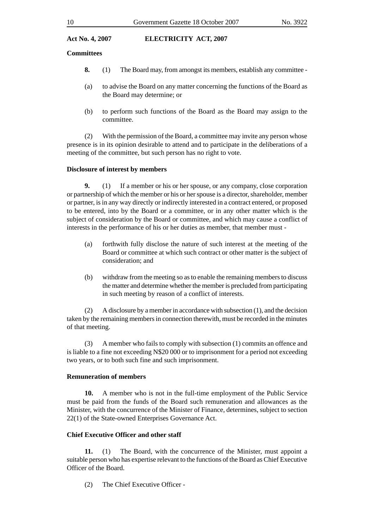#### **Committees**

- **8.** (1) The Board may, from amongst its members, establish any committee -
- (a) to advise the Board on any matter concerning the functions of the Board as the Board may determine; or
- (b) to perform such functions of the Board as the Board may assign to the committee.

(2) With the permission of the Board, a committee may invite any person whose presence is in its opinion desirable to attend and to participate in the deliberations of a meeting of the committee, but such person has no right to vote.

### **Disclosure of interest by members**

**9.** (1) If a member or his or her spouse, or any company, close corporation or partnership of which the member or his or her spouse is a director, shareholder, member or partner, is in any way directly or indirectly interested in a contract entered, or proposed to be entered, into by the Board or a committee, or in any other matter which is the subject of consideration by the Board or committee, and which may cause a conflict of interests in the performance of his or her duties as member, that member must -

- (a) forthwith fully disclose the nature of such interest at the meeting of the Board or committee at which such contract or other matter is the subject of consideration; and
- (b) withdraw from the meeting so as to enable the remaining members to discuss the matter and determine whether the member is precluded from participating in such meeting by reason of a conflict of interests.

(2) A disclosure by a member in accordance with subsection (1), and the decision taken by the remaining members in connection therewith, must be recorded in the minutes of that meeting.

(3) A member who fails to comply with subsection (1) commits an offence and is liable to a fine not exceeding N\$20 000 or to imprisonment for a period not exceeding two years, or to both such fine and such imprisonment.

#### **Remuneration of members**

**10.** A member who is not in the full-time employment of the Public Service must be paid from the funds of the Board such remuneration and allowances as the Minister, with the concurrence of the Minister of Finance, determines, subject to section 22(1) of the State-owned Enterprises Governance Act.

### **Chief Executive Officer and other staff**

**11.** (1) The Board, with the concurrence of the Minister, must appoint a suitable person who has expertise relevant to the functions of the Board as Chief Executive Officer of the Board.

(2) The Chief Executive Officer -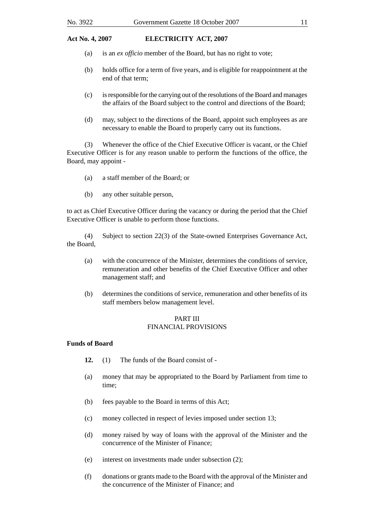- (a) is an *ex officio* member of the Board, but has no right to vote;
- (b) holds office for a term of five years, and is eligible for reappointment at the end of that term;
- (c) is responsible for the carrying out of the resolutions of the Board and manages the affairs of the Board subject to the control and directions of the Board;
- (d) may, subject to the directions of the Board, appoint such employees as are necessary to enable the Board to properly carry out its functions.

(3) Whenever the office of the Chief Executive Officer is vacant, or the Chief Executive Officer is for any reason unable to perform the functions of the office, the Board, may appoint -

- (a) a staff member of the Board; or
- (b) any other suitable person,

to act as Chief Executive Officer during the vacancy or during the period that the Chief Executive Officer is unable to perform those functions.

(4) Subject to section 22(3) of the State-owned Enterprises Governance Act, the Board,

- (a) with the concurrence of the Minister, determines the conditions of service, remuneration and other benefits of the Chief Executive Officer and other management staff; and
- (b) determines the conditions of service, remuneration and other benefits of its staff members below management level.

#### PART III FINANCIAL PROVISIONS

#### **Funds of Board**

- **12.** (1) The funds of the Board consist of -
- (a) money that may be appropriated to the Board by Parliament from time to time;
- (b) fees payable to the Board in terms of this Act;
- (c) money collected in respect of levies imposed under section 13;
- (d) money raised by way of loans with the approval of the Minister and the concurrence of the Minister of Finance;
- (e) interest on investments made under subsection (2);
- (f) donations or grants made to the Board with the approval of the Minister and the concurrence of the Minister of Finance; and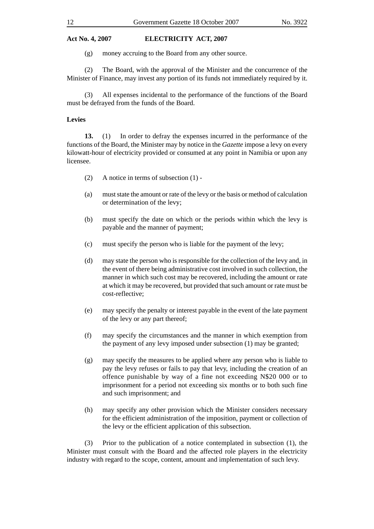(g) money accruing to the Board from any other source.

(2) The Board, with the approval of the Minister and the concurrence of the Minister of Finance, may invest any portion of its funds not immediately required by it.

(3) All expenses incidental to the performance of the functions of the Board must be defrayed from the funds of the Board.

#### **Levies**

**13.** (1) In order to defray the expenses incurred in the performance of the functions of the Board, the Minister may by notice in the *Gazette* impose a levy on every kilowatt-hour of electricity provided or consumed at any point in Namibia or upon any licensee.

- (2) A notice in terms of subsection (1) -
- (a) must state the amount or rate of the levy or the basis or method of calculation or determination of the levy;
- (b) must specify the date on which or the periods within which the levy is payable and the manner of payment;
- (c) must specify the person who is liable for the payment of the levy;
- (d) may state the person who is responsible for the collection of the levy and, in the event of there being administrative cost involved in such collection, the manner in which such cost may be recovered, including the amount or rate at which it may be recovered, but provided that such amount or rate must be cost-reflective;
- (e) may specify the penalty or interest payable in the event of the late payment of the levy or any part thereof;
- (f) may specify the circumstances and the manner in which exemption from the payment of any levy imposed under subsection (1) may be granted;
- (g) may specify the measures to be applied where any person who is liable to pay the levy refuses or fails to pay that levy, including the creation of an offence punishable by way of a fine not exceeding N\$20 000 or to imprisonment for a period not exceeding six months or to both such fine and such imprisonment; and
- (h) may specify any other provision which the Minister considers necessary for the efficient administration of the imposition, payment or collection of the levy or the efficient application of this subsection.

(3) Prior to the publication of a notice contemplated in subsection (1), the Minister must consult with the Board and the affected role players in the electricity industry with regard to the scope, content, amount and implementation of such levy.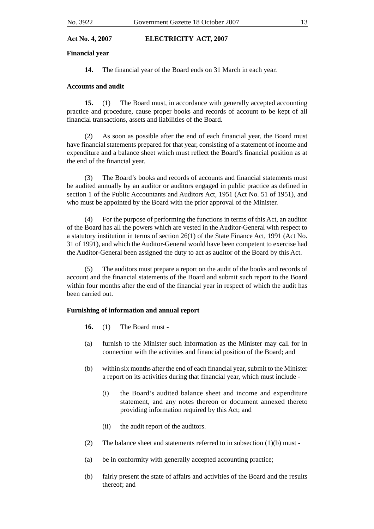#### **Financial year**

**14.** The financial year of the Board ends on 31 March in each year.

#### **Accounts and audit**

**15.** (1) The Board must, in accordance with generally accepted accounting practice and procedure, cause proper books and records of account to be kept of all financial transactions, assets and liabilities of the Board.

(2) As soon as possible after the end of each financial year, the Board must have financial statements prepared for that year, consisting of a statement of income and expenditure and a balance sheet which must reflect the Board's financial position as at the end of the financial year.

(3) The Board's books and records of accounts and financial statements must be audited annually by an auditor or auditors engaged in public practice as defined in section 1 of the Public Accountants and Auditors Act, 1951 (Act No. 51 of 1951), and who must be appointed by the Board with the prior approval of the Minister.

(4) For the purpose of performing the functions in terms of this Act, an auditor of the Board has all the powers which are vested in the Auditor-General with respect to a statutory institution in terms of section 26(1) of the State Finance Act, 1991 (Act No. 31 of 1991), and which the Auditor-General would have been competent to exercise had the Auditor-General been assigned the duty to act as auditor of the Board by this Act.

(5) The auditors must prepare a report on the audit of the books and records of account and the financial statements of the Board and submit such report to the Board within four months after the end of the financial year in respect of which the audit has been carried out.

#### **Furnishing of information and annual report**

- **16.** (1) The Board must -
- (a) furnish to the Minister such information as the Minister may call for in connection with the activities and financial position of the Board; and
- (b) within six months after the end of each financial year, submit to the Minister a report on its activities during that financial year, which must include -
	- (i) the Board's audited balance sheet and income and expenditure statement, and any notes thereon or document annexed thereto providing information required by this Act; and
	- (ii) the audit report of the auditors.
- (2) The balance sheet and statements referred to in subsection (1)(b) must -
- (a) be in conformity with generally accepted accounting practice;
- (b) fairly present the state of affairs and activities of the Board and the results thereof; and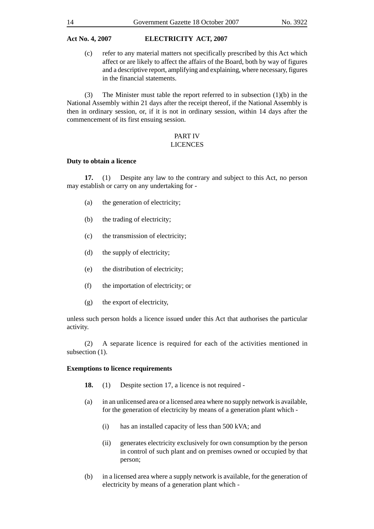(c) refer to any material matters not specifically prescribed by this Act which affect or are likely to affect the affairs of the Board, both by way of figures and a descriptive report, amplifying and explaining, where necessary, figures in the financial statements.

(3) The Minister must table the report referred to in subsection (1)(b) in the National Assembly within 21 days after the receipt thereof, if the National Assembly is then in ordinary session, or, if it is not in ordinary session, within 14 days after the commencement of its first ensuing session.

#### PART IV LICENCES

#### **Duty to obtain a licence**

**17.** (1) Despite any law to the contrary and subject to this Act, no person may establish or carry on any undertaking for -

- (a) the generation of electricity;
- (b) the trading of electricity;
- (c) the transmission of electricity;
- (d) the supply of electricity;
- (e) the distribution of electricity;
- (f) the importation of electricity; or
- (g) the export of electricity,

unless such person holds a licence issued under this Act that authorises the particular activity.

(2) A separate licence is required for each of the activities mentioned in subsection (1).

#### **Exemptions to licence requirements**

- **18.** (1) Despite section 17, a licence is not required -
- (a) in an unlicensed area or a licensed area where no supply network is available, for the generation of electricity by means of a generation plant which -
	- (i) has an installed capacity of less than 500 kVA; and
	- (ii) generates electricity exclusively for own consumption by the person in control of such plant and on premises owned or occupied by that person;
- (b) in a licensed area where a supply network is available, for the generation of electricity by means of a generation plant which -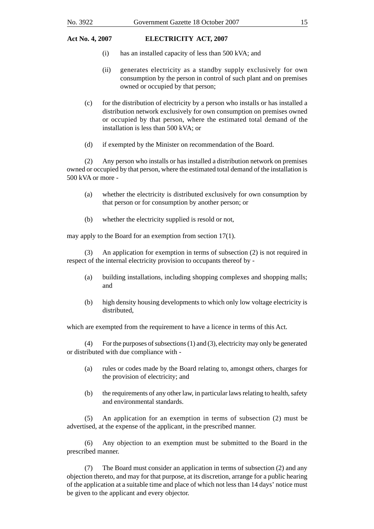- (i) has an installed capacity of less than 500 kVA; and
- (ii) generates electricity as a standby supply exclusively for own consumption by the person in control of such plant and on premises owned or occupied by that person;
- (c) for the distribution of electricity by a person who installs or has installed a distribution network exclusively for own consumption on premises owned or occupied by that person, where the estimated total demand of the installation is less than 500 kVA; or
- (d) if exempted by the Minister on recommendation of the Board.

(2) Any person who installs or has installed a distribution network on premises owned or occupied by that person, where the estimated total demand of the installation is 500 kVA or more -

- (a) whether the electricity is distributed exclusively for own consumption by that person or for consumption by another person; or
- (b) whether the electricity supplied is resold or not,

may apply to the Board for an exemption from section 17(1).

(3) An application for exemption in terms of subsection (2) is not required in respect of the internal electricity provision to occupants thereof by -

- (a) building installations, including shopping complexes and shopping malls; and
- (b) high density housing developments to which only low voltage electricity is distributed,

which are exempted from the requirement to have a licence in terms of this Act.

(4) For the purposes of subsections (1) and (3), electricity may only be generated or distributed with due compliance with -

- (a) rules or codes made by the Board relating to, amongst others, charges for the provision of electricity; and
- (b) the requirements of any other law, in particular laws relating to health, safety and environmental standards.

(5) An application for an exemption in terms of subsection (2) must be advertised, at the expense of the applicant, in the prescribed manner.

(6) Any objection to an exemption must be submitted to the Board in the prescribed manner.

(7) The Board must consider an application in terms of subsection (2) and any objection thereto, and may for that purpose, at its discretion, arrange for a public hearing of the application at a suitable time and place of which not less than 14 days' notice must be given to the applicant and every objector.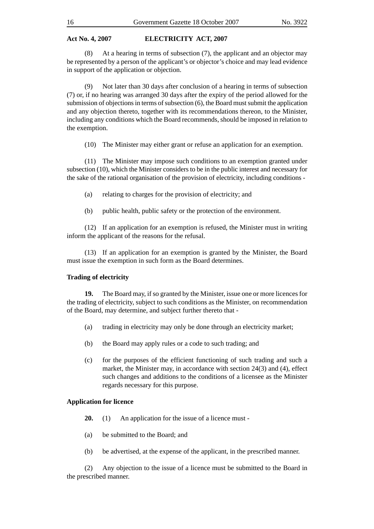(8) At a hearing in terms of subsection (7), the applicant and an objector may be represented by a person of the applicant's or objector's choice and may lead evidence in support of the application or objection.

(9) Not later than 30 days after conclusion of a hearing in terms of subsection (7) or, if no hearing was arranged 30 days after the expiry of the period allowed for the submission of objections in terms of subsection (6), the Board must submit the application and any objection thereto, together with its recommendations thereon, to the Minister, including any conditions which the Board recommends, should be imposed in relation to the exemption.

(10) The Minister may either grant or refuse an application for an exemption.

(11) The Minister may impose such conditions to an exemption granted under subsection (10), which the Minister considers to be in the public interest and necessary for the sake of the rational organisation of the provision of electricity, including conditions -

- (a) relating to charges for the provision of electricity; and
- (b) public health, public safety or the protection of the environment.

(12) If an application for an exemption is refused, the Minister must in writing inform the applicant of the reasons for the refusal.

(13) If an application for an exemption is granted by the Minister, the Board must issue the exemption in such form as the Board determines.

#### **Trading of electricity**

**19.** The Board may, if so granted by the Minister, issue one or more licences for the trading of electricity, subject to such conditions as the Minister, on recommendation of the Board, may determine, and subject further thereto that -

- (a) trading in electricity may only be done through an electricity market;
- (b) the Board may apply rules or a code to such trading; and
- (c) for the purposes of the efficient functioning of such trading and such a market, the Minister may, in accordance with section 24(3) and (4), effect such changes and additions to the conditions of a licensee as the Minister regards necessary for this purpose.

#### **Application for licence**

- **20.** (1) An application for the issue of a licence must -
- (a) be submitted to the Board; and
- (b) be advertised, at the expense of the applicant, in the prescribed manner.

(2) Any objection to the issue of a licence must be submitted to the Board in the prescribed manner.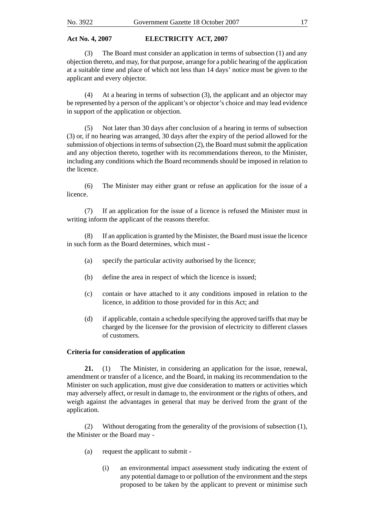(3) The Board must consider an application in terms of subsection (1) and any objection thereto, and may, for that purpose, arrange for a public hearing of the application at a suitable time and place of which not less than 14 days' notice must be given to the applicant and every objector.

(4) At a hearing in terms of subsection (3), the applicant and an objector may be represented by a person of the applicant's or objector's choice and may lead evidence in support of the application or objection.

(5) Not later than 30 days after conclusion of a hearing in terms of subsection (3) or, if no hearing was arranged, 30 days after the expiry of the period allowed for the submission of objections in terms of subsection (2), the Board must submit the application and any objection thereto, together with its recommendations thereon, to the Minister, including any conditions which the Board recommends should be imposed in relation to the licence.

(6) The Minister may either grant or refuse an application for the issue of a licence.

(7) If an application for the issue of a licence is refused the Minister must in writing inform the applicant of the reasons therefor.

(8) If an application is granted by the Minister, the Board must issue the licence in such form as the Board determines, which must -

- (a) specify the particular activity authorised by the licence;
- (b) define the area in respect of which the licence is issued;
- (c) contain or have attached to it any conditions imposed in relation to the licence, in addition to those provided for in this Act; and
- (d) if applicable, contain a schedule specifying the approved tariffs that may be charged by the licensee for the provision of electricity to different classes of customers.

### **Criteria for consideration of application**

**21.** (1) The Minister, in considering an application for the issue, renewal, amendment or transfer of a licence, and the Board, in making its recommendation to the Minister on such application, must give due consideration to matters or activities which may adversely affect, or result in damage to, the environment or the rights of others, and weigh against the advantages in general that may be derived from the grant of the application.

(2) Without derogating from the generality of the provisions of subsection (1), the Minister or the Board may -

- (a) request the applicant to submit
	- (i) an environmental impact assessment study indicating the extent of any potential damage to or pollution of the environment and the steps proposed to be taken by the applicant to prevent or minimise such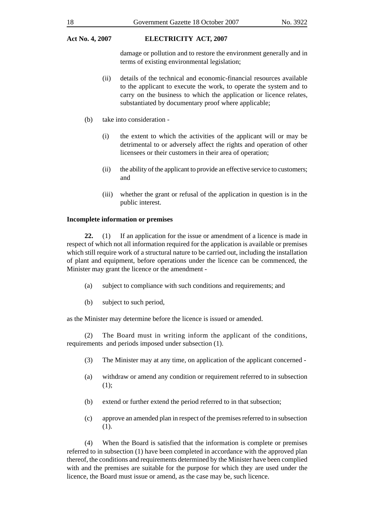damage or pollution and to restore the environment generally and in terms of existing environmental legislation;

- (ii) details of the technical and economic-financial resources available to the applicant to execute the work, to operate the system and to carry on the business to which the application or licence relates, substantiated by documentary proof where applicable;
- (b) take into consideration
	- (i) the extent to which the activities of the applicant will or may be detrimental to or adversely affect the rights and operation of other licensees or their customers in their area of operation;
	- (ii) the ability of the applicant to provide an effective service to customers; and
	- (iii) whether the grant or refusal of the application in question is in the public interest.

#### **Incomplete information or premises**

**22.** (1) If an application for the issue or amendment of a licence is made in respect of which not all information required for the application is available or premises which still require work of a structural nature to be carried out, including the installation of plant and equipment, before operations under the licence can be commenced, the Minister may grant the licence or the amendment -

- (a) subject to compliance with such conditions and requirements; and
- (b) subject to such period,

as the Minister may determine before the licence is issued or amended.

(2) The Board must in writing inform the applicant of the conditions, requirements and periods imposed under subsection (1).

- (3) The Minister may at any time, on application of the applicant concerned -
- (a) withdraw or amend any condition or requirement referred to in subsection (1);
- (b) extend or further extend the period referred to in that subsection;
- (c) approve an amended plan in respect of the premises referred to in subsection (1).

(4) When the Board is satisfied that the information is complete or premises referred to in subsection (1) have been completed in accordance with the approved plan thereof, the conditions and requirements determined by the Minister have been complied with and the premises are suitable for the purpose for which they are used under the licence, the Board must issue or amend, as the case may be, such licence.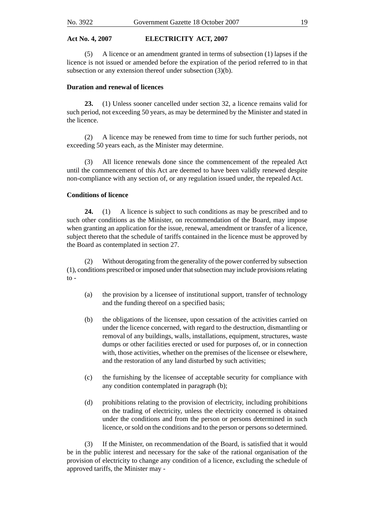(5) A licence or an amendment granted in terms of subsection (1) lapses if the licence is not issued or amended before the expiration of the period referred to in that subsection or any extension thereof under subsection (3)(b).

#### **Duration and renewal of licences**

**23.** (1) Unless sooner cancelled under section 32, a licence remains valid for such period, not exceeding 50 years, as may be determined by the Minister and stated in the licence.

(2) A licence may be renewed from time to time for such further periods, not exceeding 50 years each, as the Minister may determine.

(3) All licence renewals done since the commencement of the repealed Act until the commencement of this Act are deemed to have been validly renewed despite non-compliance with any section of, or any regulation issued under, the repealed Act.

#### **Conditions of licence**

**24.** (1) A licence is subject to such conditions as may be prescribed and to such other conditions as the Minister, on recommendation of the Board, may impose when granting an application for the issue, renewal, amendment or transfer of a licence, subject thereto that the schedule of tariffs contained in the licence must be approved by the Board as contemplated in section 27.

(2) Without derogating from the generality of the power conferred by subsection (1), conditions prescribed or imposed under that subsection may include provisions relating to -

- (a) the provision by a licensee of institutional support, transfer of technology and the funding thereof on a specified basis;
- (b) the obligations of the licensee, upon cessation of the activities carried on under the licence concerned, with regard to the destruction, dismantling or removal of any buildings, walls, installations, equipment, structures, waste dumps or other facilities erected or used for purposes of, or in connection with, those activities, whether on the premises of the licensee or elsewhere, and the restoration of any land disturbed by such activities;
- (c) the furnishing by the licensee of acceptable security for compliance with any condition contemplated in paragraph (b);
- (d) prohibitions relating to the provision of electricity, including prohibitions on the trading of electricity, unless the electricity concerned is obtained under the conditions and from the person or persons determined in such licence, or sold on the conditions and to the person or persons so determined.

(3) If the Minister, on recommendation of the Board, is satisfied that it would be in the public interest and necessary for the sake of the rational organisation of the provision of electricity to change any condition of a licence, excluding the schedule of approved tariffs, the Minister may -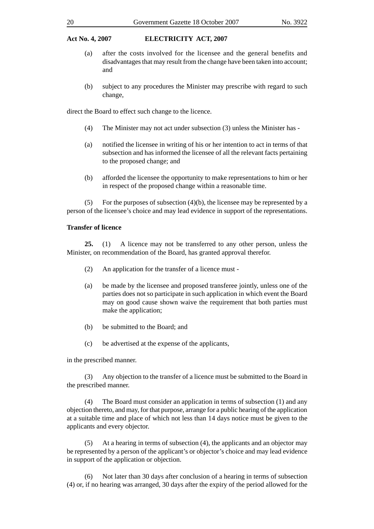- (a) after the costs involved for the licensee and the general benefits and disadvantages that may result from the change have been taken into account; and
- (b) subject to any procedures the Minister may prescribe with regard to such change,

direct the Board to effect such change to the licence.

- (4) The Minister may not act under subsection (3) unless the Minister has -
- (a) notified the licensee in writing of his or her intention to act in terms of that subsection and has informed the licensee of all the relevant facts pertaining to the proposed change; and
- (b) afforded the licensee the opportunity to make representations to him or her in respect of the proposed change within a reasonable time.

(5) For the purposes of subsection  $(4)(b)$ , the licensee may be represented by a person of the licensee's choice and may lead evidence in support of the representations.

#### **Transfer of licence**

**25.** (1) A licence may not be transferred to any other person, unless the Minister, on recommendation of the Board, has granted approval therefor.

- (2) An application for the transfer of a licence must -
- (a) be made by the licensee and proposed transferee jointly, unless one of the parties does not so participate in such application in which event the Board may on good cause shown waive the requirement that both parties must make the application;
- (b) be submitted to the Board; and
- (c) be advertised at the expense of the applicants,

in the prescribed manner.

(3) Any objection to the transfer of a licence must be submitted to the Board in the prescribed manner.

(4) The Board must consider an application in terms of subsection (1) and any objection thereto, and may, for that purpose, arrange for a public hearing of the application at a suitable time and place of which not less than 14 days notice must be given to the applicants and every objector.

(5) At a hearing in terms of subsection (4), the applicants and an objector may be represented by a person of the applicant's or objector's choice and may lead evidence in support of the application or objection.

(6) Not later than 30 days after conclusion of a hearing in terms of subsection (4) or, if no hearing was arranged, 30 days after the expiry of the period allowed for the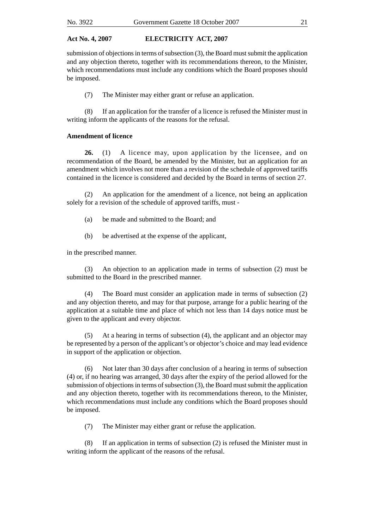submission of objections in terms of subsection (3), the Board must submit the application and any objection thereto, together with its recommendations thereon, to the Minister, which recommendations must include any conditions which the Board proposes should be imposed.

(7) The Minister may either grant or refuse an application.

(8) If an application for the transfer of a licence is refused the Minister must in writing inform the applicants of the reasons for the refusal.

#### **Amendment of licence**

**26.** (1) A licence may, upon application by the licensee, and on recommendation of the Board, be amended by the Minister, but an application for an amendment which involves not more than a revision of the schedule of approved tariffs contained in the licence is considered and decided by the Board in terms of section 27.

(2) An application for the amendment of a licence, not being an application solely for a revision of the schedule of approved tariffs, must -

- (a) be made and submitted to the Board; and
- (b) be advertised at the expense of the applicant,

in the prescribed manner.

(3) An objection to an application made in terms of subsection (2) must be submitted to the Board in the prescribed manner.

(4) The Board must consider an application made in terms of subsection (2) and any objection thereto, and may for that purpose, arrange for a public hearing of the application at a suitable time and place of which not less than 14 days notice must be given to the applicant and every objector.

(5) At a hearing in terms of subsection (4), the applicant and an objector may be represented by a person of the applicant's or objector's choice and may lead evidence in support of the application or objection.

(6) Not later than 30 days after conclusion of a hearing in terms of subsection (4) or, if no hearing was arranged, 30 days after the expiry of the period allowed for the submission of objections in terms of subsection (3), the Board must submit the application and any objection thereto, together with its recommendations thereon, to the Minister, which recommendations must include any conditions which the Board proposes should be imposed.

(7) The Minister may either grant or refuse the application.

(8) If an application in terms of subsection (2) is refused the Minister must in writing inform the applicant of the reasons of the refusal.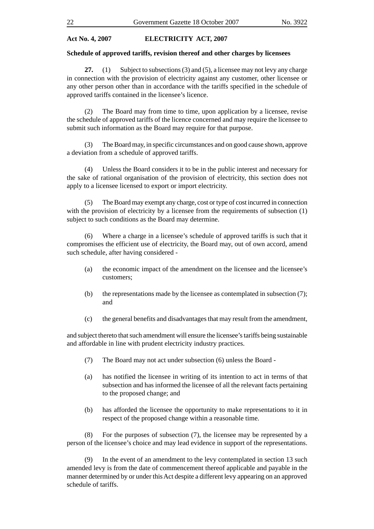#### **Schedule of approved tariffs, revision thereof and other charges by licensees**

**27.** (1) Subject to subsections (3) and (5), a licensee may not levy any charge in connection with the provision of electricity against any customer, other licensee or any other person other than in accordance with the tariffs specified in the schedule of approved tariffs contained in the licensee's licence.

(2) The Board may from time to time, upon application by a licensee, revise the schedule of approved tariffs of the licence concerned and may require the licensee to submit such information as the Board may require for that purpose.

(3) The Board may, in specific circumstances and on good cause shown, approve a deviation from a schedule of approved tariffs.

(4) Unless the Board considers it to be in the public interest and necessary for the sake of rational organisation of the provision of electricity, this section does not apply to a licensee licensed to export or import electricity.

(5) The Board may exempt any charge, cost or type of cost incurred in connection with the provision of electricity by a licensee from the requirements of subsection (1) subject to such conditions as the Board may determine.

(6) Where a charge in a licensee's schedule of approved tariffs is such that it compromises the efficient use of electricity, the Board may, out of own accord, amend such schedule, after having considered -

- (a) the economic impact of the amendment on the licensee and the licensee's customers;
- (b) the representations made by the licensee as contemplated in subsection (7); and
- (c) the general benefits and disadvantages that may result from the amendment,

and subject thereto that such amendment will ensure the licensee's tariffs being sustainable and affordable in line with prudent electricity industry practices.

- (7) The Board may not act under subsection (6) unless the Board -
- (a) has notified the licensee in writing of its intention to act in terms of that subsection and has informed the licensee of all the relevant facts pertaining to the proposed change; and
- (b) has afforded the licensee the opportunity to make representations to it in respect of the proposed change within a reasonable time.

(8) For the purposes of subsection (7), the licensee may be represented by a person of the licensee's choice and may lead evidence in support of the representations.

(9) In the event of an amendment to the levy contemplated in section 13 such amended levy is from the date of commencement thereof applicable and payable in the manner determined by or under this Act despite a different levy appearing on an approved schedule of tariffs.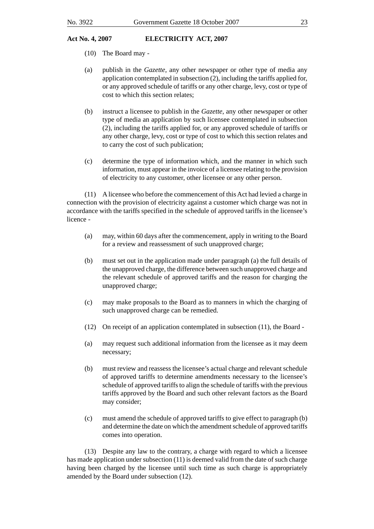- (10) The Board may -
- (a) publish in the *Gazette,* any other newspaper or other type of media any application contemplated in subsection (2), including the tariffs applied for, or any approved schedule of tariffs or any other charge, levy, cost or type of cost to which this section relates;
- (b) instruct a licensee to publish in the *Gazette*, any other newspaper or other type of media an application by such licensee contemplated in subsection (2), including the tariffs applied for, or any approved schedule of tariffs or any other charge, levy, cost or type of cost to which this section relates and to carry the cost of such publication;
- (c) determine the type of information which, and the manner in which such information, must appear in the invoice of a licensee relating to the provision of electricity to any customer, other licensee or any other person.

(11) A licensee who before the commencement of this Act had levied a charge in connection with the provision of electricity against a customer which charge was not in accordance with the tariffs specified in the schedule of approved tariffs in the licensee's licence -

- (a) may, within 60 days after the commencement, apply in writing to the Board for a review and reassessment of such unapproved charge;
- (b) must set out in the application made under paragraph (a) the full details of the unapproved charge, the difference between such unapproved charge and the relevant schedule of approved tariffs and the reason for charging the unapproved charge;
- (c) may make proposals to the Board as to manners in which the charging of such unapproved charge can be remedied.
- (12) On receipt of an application contemplated in subsection (11), the Board -
- (a) may request such additional information from the licensee as it may deem necessary;
- (b) must review and reassess the licensee's actual charge and relevant schedule of approved tariffs to determine amendments necessary to the licensee's schedule of approved tariffs to align the schedule of tariffs with the previous tariffs approved by the Board and such other relevant factors as the Board may consider;
- (c) must amend the schedule of approved tariffs to give effect to paragraph (b) and determine the date on which the amendment schedule of approved tariffs comes into operation.

(13) Despite any law to the contrary, a charge with regard to which a licensee has made application under subsection (11) is deemed valid from the date of such charge having been charged by the licensee until such time as such charge is appropriately amended by the Board under subsection (12).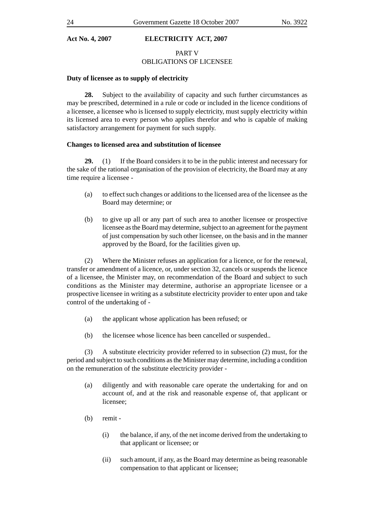#### PART V OBLIGATIONS OF LICENSEE

#### **Duty of licensee as to supply of electricity**

**28.** Subject to the availability of capacity and such further circumstances as may be prescribed, determined in a rule or code or included in the licence conditions of a licensee, a licensee who is licensed to supply electricity, must supply electricity within its licensed area to every person who applies therefor and who is capable of making satisfactory arrangement for payment for such supply.

#### **Changes to licensed area and substitution of licensee**

**29.** (1) If the Board considers it to be in the public interest and necessary for the sake of the rational organisation of the provision of electricity, the Board may at any time require a licensee -

- (a) to effect such changes or additions to the licensed area of the licensee as the Board may determine; or
- (b) to give up all or any part of such area to another licensee or prospective licensee as the Board may determine, subject to an agreement for the payment of just compensation by such other licensee, on the basis and in the manner approved by the Board, for the facilities given up.

(2) Where the Minister refuses an application for a licence, or for the renewal, transfer or amendment of a licence, or, under section 32, cancels or suspends the licence of a licensee, the Minister may, on recommendation of the Board and subject to such conditions as the Minister may determine, authorise an appropriate licensee or a prospective licensee in writing as a substitute electricity provider to enter upon and take control of the undertaking of -

- (a) the applicant whose application has been refused; or
- (b) the licensee whose licence has been cancelled or suspended..

(3) A substitute electricity provider referred to in subsection (2) must, for the period and subject to such conditions as the Minister may determine, including a condition on the remuneration of the substitute electricity provider -

- (a) diligently and with reasonable care operate the undertaking for and on account of, and at the risk and reasonable expense of, that applicant or licensee;
- (b) remit
	- (i) the balance, if any, of the net income derived from the undertaking to that applicant or licensee; or
	- (ii) such amount, if any, as the Board may determine as being reasonable compensation to that applicant or licensee;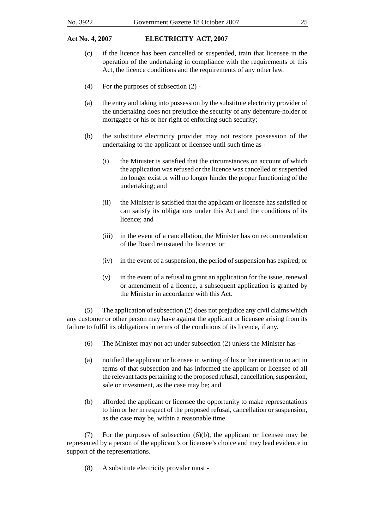- (c) if the licence has been cancelled or suspended, train that licensee in the operation of the undertaking in compliance with the requirements of this Act, the licence conditions and the requirements of any other law.
- (4) For the purposes of subsection (2) -
- (a) the entry and taking into possession by the substitute electricity provider of the undertaking does not prejudice the security of any debenture-holder or mortgagee or his or her right of enforcing such security;
- (b) the substitute electricity provider may not restore possession of the undertaking to the applicant or licensee until such time as -
	- (i) the Minister is satisfied that the circumstances on account of which the application was refused or the licence was cancelled or suspended no longer exist or will no longer hinder the proper functioning of the undertaking; and
	- (ii) the Minister is satisfied that the applicant or licensee has satisfied or can satisfy its obligations under this Act and the conditions of its licence; and
	- (iii) in the event of a cancellation, the Minister has on recommendation of the Board reinstated the licence; or
	- (iv) in the event of a suspension, the period of suspension has expired; or
	- (v) in the event of a refusal to grant an application for the issue, renewal or amendment of a licence, a subsequent application is granted by the Minister in accordance with this Act.

(5) The application of subsection (2) does not prejudice any civil claims which any customer or other person may have against the applicant or licensee arising from its failure to fulfil its obligations in terms of the conditions of its licence, if any.

- (6) The Minister may not act under subsection (2) unless the Minister has -
- (a) notified the applicant or licensee in writing of his or her intention to act in terms of that subsection and has informed the applicant or licensee of all the relevant facts pertaining to the proposed refusal, cancellation, suspension, sale or investment, as the case may be; and
- (b) afforded the applicant or licensee the opportunity to make representations to him or her in respect of the proposed refusal, cancellation or suspension, as the case may be, within a reasonable time.

(7) For the purposes of subsection (6)(b), the applicant or licensee may be represented by a person of the applicant's or licensee's choice and may lead evidence in support of the representations.

(8) A substitute electricity provider must -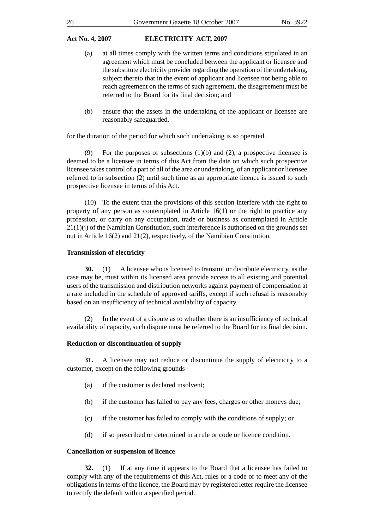- (a) at all times comply with the written terms and conditions stipulated in an agreement which must be concluded between the applicant or licensee and the substitute electricity provider regarding the operation of the undertaking, subject thereto that in the event of applicant and licensee not being able to reach agreement on the terms of such agreement, the disagreement must be referred to the Board for its final decision; and
- (b) ensure that the assets in the undertaking of the applicant or licensee are reasonably safeguarded,

for the duration of the period for which such undertaking is so operated.

For the purposes of subsections  $(1)(b)$  and  $(2)$ , a prospective licensee is deemed to be a licensee in terms of this Act from the date on which such prospective licensee takes control of a part of all of the area or undertaking, of an applicant or licensee referred to in subsection (2) until such time as an appropriate licence is issued to such prospective licensee in terms of this Act.

(10) To the extent that the provisions of this section interfere with the right to property of any person as contemplated in Article  $16(1)$  or the right to practice any profession, or carry on any occupation, trade or business as contemplated in Article 21(1)(j) of the Namibian Constitution, such interference is authorised on the grounds set out in Article 16(2) and 21(2), respectively, of the Namibian Constitution.

#### **Transmission of electricity**

**30.** (1) A licensee who is licensed to transmit or distribute electricity, as the case may be, must within its licensed area provide access to all existing and potential users of the transmission and distribution networks against payment of compensation at a rate included in the schedule of approved tariffs, except if such refusal is reasonably based on an insufficiency of technical availability of capacity.

(2) In the event of a dispute as to whether there is an insufficiency of technical availability of capacity, such dispute must be referred to the Board for its final decision.

#### **Reduction or discontinuation of supply**

**31.** A licensee may not reduce or discontinue the supply of electricity to a customer, except on the following grounds -

- (a) if the customer is declared insolvent;
- (b) if the customer has failed to pay any fees, charges or other moneys due;
- (c) if the customer has failed to comply with the conditions of supply; or
- (d) if so prescribed or determined in a rule or code or licence condition.

#### **Cancellation or suspension of licence**

**32.** (1) If at any time it appears to the Board that a licensee has failed to comply with any of the requirements of this Act, rules or a code or to meet any of the obligations in terms of the licence, the Board may by registered letter require the licensee to rectify the default within a specified period.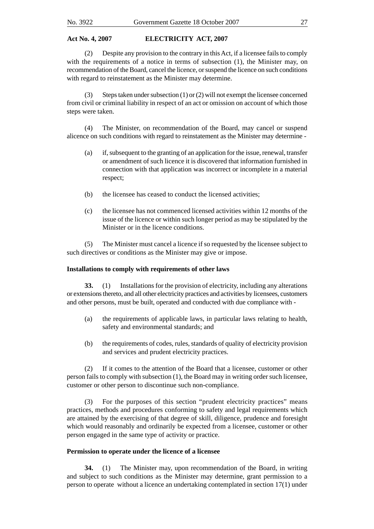(2) Despite any provision to the contrary in this Act, if a licensee fails to comply with the requirements of a notice in terms of subsection (1), the Minister may, on recommendation of the Board, cancel the licence, or suspend the licence on such conditions with regard to reinstatement as the Minister may determine.

(3) Steps taken under subsection (1) or (2) will not exempt the licensee concerned from civil or criminal liability in respect of an act or omission on account of which those steps were taken.

(4) The Minister, on recommendation of the Board, may cancel or suspend alicence on such conditions with regard to reinstatement as the Minister may determine -

- (a) if, subsequent to the granting of an application for the issue, renewal, transfer or amendment of such licence it is discovered that information furnished in connection with that application was incorrect or incomplete in a material respect;
- (b) the licensee has ceased to conduct the licensed activities;
- (c) the licensee has not commenced licensed activities within 12 months of the issue of the licence or within such longer period as may be stipulated by the Minister or in the licence conditions.

(5) The Minister must cancel a licence if so requested by the licensee subject to such directives or conditions as the Minister may give or impose.

### **Installations to comply with requirements of other laws**

**33.** (1) Installations for the provision of electricity, including any alterations or extensions thereto, and all other electricity practices and activities by licensees, customers and other persons, must be built, operated and conducted with due compliance with -

- (a) the requirements of applicable laws, in particular laws relating to health, safety and environmental standards; and
- (b) the requirements of codes, rules, standards of quality of electricity provision and services and prudent electricity practices.

(2) If it comes to the attention of the Board that a licensee, customer or other person fails to comply with subsection (1), the Board may in writing order such licensee, customer or other person to discontinue such non-compliance.

(3) For the purposes of this section "prudent electricity practices" means practices, methods and procedures conforming to safety and legal requirements which are attained by the exercising of that degree of skill, diligence, prudence and foresight which would reasonably and ordinarily be expected from a licensee, customer or other person engaged in the same type of activity or practice.

### **Permission to operate under the licence of a licensee**

**34.** (1) The Minister may, upon recommendation of the Board, in writing and subject to such conditions as the Minister may determine, grant permission to a person to operate without a licence an undertaking contemplated in section 17(1) under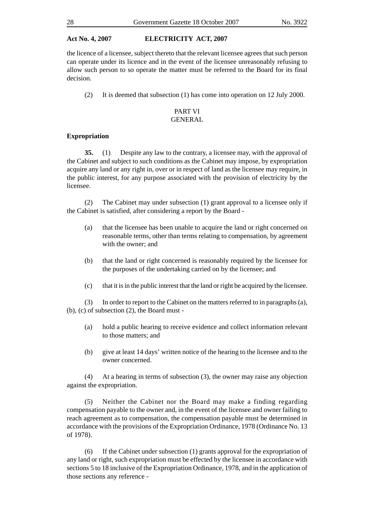the licence of a licensee, subject thereto that the relevant licensee agrees that such person can operate under its licence and in the event of the licensee unreasonably refusing to allow such person to so operate the matter must be referred to the Board for its final decision.

(2) It is deemed that subsection (1) has come into operation on 12 July 2000.

#### PART VI GENERAL

#### **Expropriation**

**35.** (1) Despite any law to the contrary, a licensee may, with the approval of the Cabinet and subject to such conditions as the Cabinet may impose, by expropriation acquire any land or any right in, over or in respect of land as the licensee may require, in the public interest, for any purpose associated with the provision of electricity by the licensee.

(2) The Cabinet may under subsection (1) grant approval to a licensee only if the Cabinet is satisfied, after considering a report by the Board -

- (a) that the licensee has been unable to acquire the land or right concerned on reasonable terms, other than terms relating to compensation, by agreement with the owner; and
- (b) that the land or right concerned is reasonably required by the licensee for the purposes of the undertaking carried on by the licensee; and
- (c) that it is in the public interest that the land or right be acquired by the licensee.

(3) In order to report to the Cabinet on the matters referred to in paragraphs (a), (b), (c) of subsection (2), the Board must -

- (a) hold a public hearing to receive evidence and collect information relevant to those matters; and
- (b) give at least 14 days' written notice of the hearing to the licensee and to the owner concerned.

(4) At a hearing in terms of subsection (3), the owner may raise any objection against the expropriation.

(5) Neither the Cabinet nor the Board may make a finding regarding compensation payable to the owner and, in the event of the licensee and owner failing to reach agreement as to compensation, the compensation payable must be determined in accordance with the provisions of the Expropriation Ordinance, 1978 (Ordinance No. 13 of 1978).

(6) If the Cabinet under subsection (1) grants approval for the expropriation of any land or right, such expropriation must be effected by the licensee in accordance with sections 5 to 18 inclusive of the Expropriation Ordinance, 1978, and in the application of those sections any reference -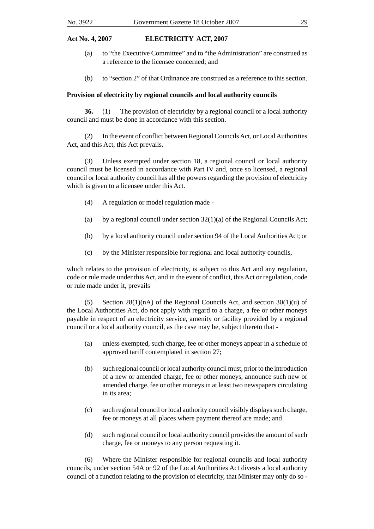- (a) to "the Executive Committee" and to "the Administration" are construed as a reference to the licensee concerned; and
- (b) to "section 2" of that Ordinance are construed as a reference to this section.

#### **Provision of electricity by regional councils and local authority councils**

**36.** (1) The provision of electricity by a regional council or a local authority council and must be done in accordance with this section.

(2) In the event of conflict between Regional Councils Act, or Local Authorities Act, and this Act, this Act prevails.

(3) Unless exempted under section 18, a regional council or local authority council must be licensed in accordance with Part IV and, once so licensed, a regional council or local authority council has all the powers regarding the provision of electricity which is given to a licensee under this Act.

- (4) A regulation or model regulation made -
- (a) by a regional council under section  $32(1)(a)$  of the Regional Councils Act;
- (b) by a local authority council under section 94 of the Local Authorities Act; or
- (c) by the Minister responsible for regional and local authority councils,

which relates to the provision of electricity, is subject to this Act and any regulation, code or rule made under this Act, and in the event of conflict, this Act or regulation, code or rule made under it, prevails

(5) Section 28(1)(nA) of the Regional Councils Act, and section  $30(1)(u)$  of the Local Authorities Act, do not apply with regard to a charge, a fee or other moneys payable in respect of an electricity service, amenity or facility provided by a regional council or a local authority council, as the case may be, subject thereto that -

- (a) unless exempted, such charge, fee or other moneys appear in a schedule of approved tariff contemplated in section 27;
- (b) such regional council or local authority council must, prior to the introduction of a new or amended charge, fee or other moneys, announce such new or amended charge, fee or other moneys in at least two newspapers circulating in its area;
- (c) such regional council or local authority council visibly displays such charge, fee or moneys at all places where payment thereof are made; and
- (d) such regional council or local authority council provides the amount of such charge, fee or moneys to any person requesting it.

(6) Where the Minister responsible for regional councils and local authority councils, under section 54A or 92 of the Local Authorities Act divests a local authority council of a function relating to the provision of electricity, that Minister may only do so -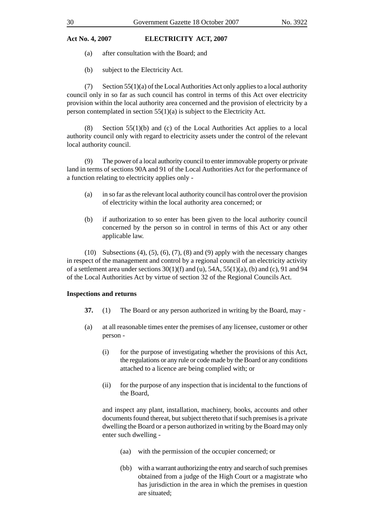- (a) after consultation with the Board; and
- (b) subject to the Electricity Act.

 $(7)$  Section 55(1)(a) of the Local Authorities Act only applies to a local authority council only in so far as such council has control in terms of this Act over electricity provision within the local authority area concerned and the provision of electricity by a person contemplated in section 55(1)(a) is subject to the Electricity Act.

(8) Section  $55(1)(b)$  and (c) of the Local Authorities Act applies to a local authority council only with regard to electricity assets under the control of the relevant local authority council.

(9) The power of a local authority council to enter immovable property or private land in terms of sections 90A and 91 of the Local Authorities Act for the performance of a function relating to electricity applies only -

- (a) in so far as the relevant local authority council has control over the provision of electricity within the local authority area concerned; or
- (b) if authorization to so enter has been given to the local authority council concerned by the person so in control in terms of this Act or any other applicable law.

(10) Subsections (4), (5), (6), (7), (8) and (9) apply with the necessary changes in respect of the management and control by a regional council of an electricity activity of a settlement area under sections  $30(1)(f)$  and  $(u)$ ,  $54A$ ,  $55(1)(a)$ ,  $(b)$  and  $(c)$ ,  $91$  and  $94$ of the Local Authorities Act by virtue of section 32 of the Regional Councils Act.

#### **Inspections and returns**

- **37.** (1) The Board or any person authorized in writing by the Board, may -
- (a) at all reasonable times enter the premises of any licensee, customer or other person -
	- (i) for the purpose of investigating whether the provisions of this Act, the regulations or any rule or code made by the Board or any conditions attached to a licence are being complied with; or
	- (ii) for the purpose of any inspection that is incidental to the functions of the Board,

and inspect any plant, installation, machinery, books, accounts and other documents found thereat, but subject thereto that if such premises is a private dwelling the Board or a person authorized in writing by the Board may only enter such dwelling -

- (aa) with the permission of the occupier concerned; or
- (bb) with a warrant authorizing the entry and search of such premises obtained from a judge of the High Court or a magistrate who has jurisdiction in the area in which the premises in question are situated;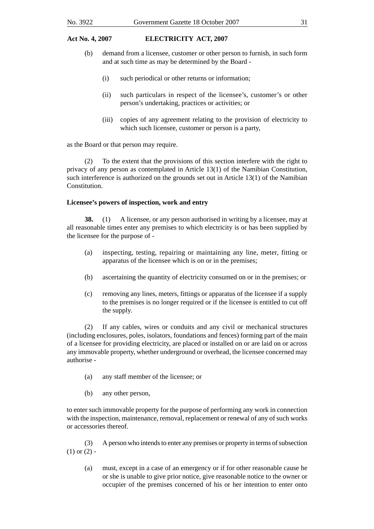- (b) demand from a licensee, customer or other person to furnish, in such form and at such time as may be determined by the Board -
	- (i) such periodical or other returns or information;
	- (ii) such particulars in respect of the licensee's, customer's or other person's undertaking, practices or activities; or
	- (iii) copies of any agreement relating to the provision of electricity to which such licensee, customer or person is a party,

as the Board or that person may require.

(2) To the extent that the provisions of this section interfere with the right to privacy of any person as contemplated in Article 13(1) of the Namibian Constitution, such interference is authorized on the grounds set out in Article 13(1) of the Namibian Constitution.

#### **Licensee's powers of inspection, work and entry**

**38.** (1) A licensee, or any person authorised in writing by a licensee, may at all reasonable times enter any premises to which electricity is or has been supplied by the licensee for the purpose of -

- (a) inspecting, testing, repairing or maintaining any line, meter, fitting or apparatus of the licensee which is on or in the premises;
- (b) ascertaining the quantity of electricity consumed on or in the premises; or
- (c) removing any lines, meters, fittings or apparatus of the licensee if a supply to the premises is no longer required or if the licensee is entitled to cut off the supply.

(2) If any cables, wires or conduits and any civil or mechanical structures (including enclosures, poles, isolators, foundations and fences) forming part of the main of a licensee for providing electricity, are placed or installed on or are laid on or across any immovable property, whether underground or overhead, the licensee concerned may authorise -

- (a) any staff member of the licensee; or
- (b) any other person,

to enter such immovable property for the purpose of performing any work in connection with the inspection, maintenance, removal, replacement or renewal of any of such works or accessories thereof.

(3) A person who intends to enter any premises or property in terms of subsection  $(1)$  or  $(2)$  -

(a) must, except in a case of an emergency or if for other reasonable cause he or she is unable to give prior notice, give reasonable notice to the owner or occupier of the premises concerned of his or her intention to enter onto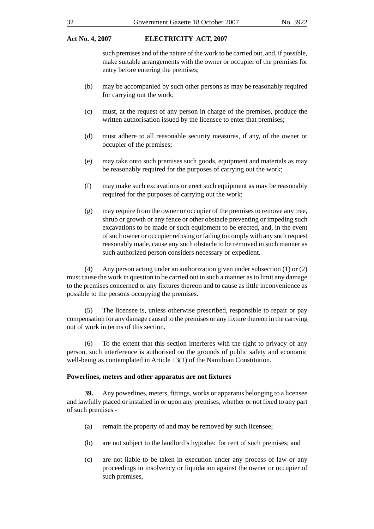such premises and of the nature of the work to be carried out, and, if possible, make suitable arrangements with the owner or occupier of the premises for entry before entering the premises;

- (b) may be accompanied by such other persons as may be reasonably required for carrying out the work;
- (c) must, at the request of any person in charge of the premises, produce the written authorisation issued by the licensee to enter that premises;
- (d) must adhere to all reasonable security measures, if any, of the owner or occupier of the premises;
- (e) may take onto such premises such goods, equipment and materials as may be reasonably required for the purposes of carrying out the work;
- (f) may make such excavations or erect such equipment as may be reasonably required for the purposes of carrying out the work;
- (g) may require from the owner or occupier of the premises to remove any tree, shrub or growth or any fence or other obstacle preventing or impeding such excavations to be made or such equipment to be erected, and, in the event of such owner or occupier refusing or failing to comply with any such request reasonably made, cause any such obstacle to be removed in such manner as such authorized person considers necessary or expedient.

(4) Any person acting under an authorization given under subsection (1) or (2) must cause the work in question to be carried out in such a manner as to limit any damage to the premises concerned or any fixtures thereon and to cause as little inconvenience as possible to the persons occupying the premises.

(5) The licensee is, unless otherwise prescribed, responsible to repair or pay compensation for any damage caused to the premises or any fixture thereon in the carrying out of work in terms of this section.

(6) To the extent that this section interferes with the right to privacy of any person, such interference is authorised on the grounds of public safety and economic well-being as contemplated in Article 13(1) of the Namibian Constitution.

#### **Powerlines, meters and other apparatus are not fixtures**

**39.** Any powerlines, meters, fittings, works or apparatus belonging to a licensee and lawfully placed or installed in or upon any premises, whether or not fixed to any part of such premises -

- (a) remain the property of and may be removed by such licensee;
- (b) are not subject to the landlord's hypothec for rent of such premises; and
- (c) are not liable to be taken in execution under any process of law or any proceedings in insolvency or liquidation against the owner or occupier of such premises,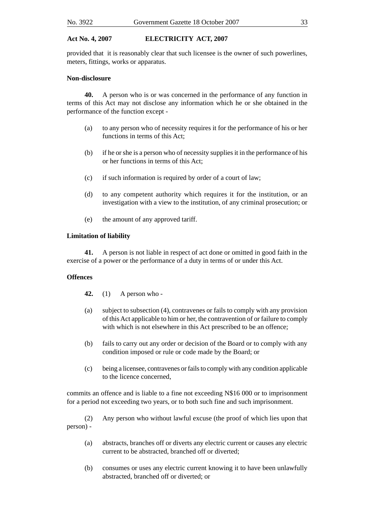provided that it is reasonably clear that such licensee is the owner of such powerlines, meters, fittings, works or apparatus.

#### **Non-disclosure**

**40.** A person who is or was concerned in the performance of any function in terms of this Act may not disclose any information which he or she obtained in the performance of the function except -

- (a) to any person who of necessity requires it for the performance of his or her functions in terms of this Act;
- (b) if he or she is a person who of necessity supplies it in the performance of his or her functions in terms of this Act;
- (c) if such information is required by order of a court of law;
- (d) to any competent authority which requires it for the institution, or an investigation with a view to the institution, of any criminal prosecution; or
- (e) the amount of any approved tariff.

#### **Limitation of liability**

**41.** A person is not liable in respect of act done or omitted in good faith in the exercise of a power or the performance of a duty in terms of or under this Act.

#### **Offences**

- **42.** (1) A person who -
- (a) subject to subsection (4), contravenes or fails to comply with any provision of this Act applicable to him or her, the contravention of or failure to comply with which is not elsewhere in this Act prescribed to be an offence;
- (b) fails to carry out any order or decision of the Board or to comply with any condition imposed or rule or code made by the Board; or
- (c) being a licensee, contravenes or fails to comply with any condition applicable to the licence concerned,

commits an offence and is liable to a fine not exceeding N\$16 000 or to imprisonment for a period not exceeding two years, or to both such fine and such imprisonment.

(2) Any person who without lawful excuse (the proof of which lies upon that person) -

- (a) abstracts, branches off or diverts any electric current or causes any electric current to be abstracted, branched off or diverted;
- (b) consumes or uses any electric current knowing it to have been unlawfully abstracted, branched off or diverted; or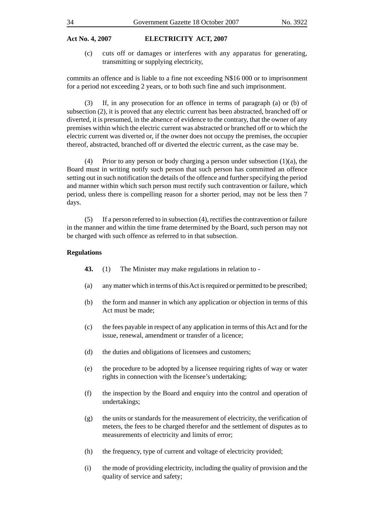(c) cuts off or damages or interferes with any apparatus for generating, transmitting or supplying electricity,

commits an offence and is liable to a fine not exceeding N\$16 000 or to imprisonment for a period not exceeding 2 years, or to both such fine and such imprisonment.

(3) If, in any prosecution for an offence in terms of paragraph (a) or (b) of subsection (2), it is proved that any electric current has been abstracted, branched off or diverted, it is presumed, in the absence of evidence to the contrary, that the owner of any premises within which the electric current was abstracted or branched off or to which the electric current was diverted or, if the owner does not occupy the premises, the occupier thereof, abstracted, branched off or diverted the electric current, as the case may be.

(4) Prior to any person or body charging a person under subsection (1)(a), the Board must in writing notify such person that such person has committed an offence setting out in such notification the details of the offence and further specifying the period and manner within which such person must rectify such contravention or failure, which period, unless there is compelling reason for a shorter period, may not be less then 7 days.

(5) If a person referred to in subsection (4), rectifies the contravention or failure in the manner and within the time frame determined by the Board, such person may not be charged with such offence as referred to in that subsection.

#### **Regulations**

- **43.** (1) The Minister may make regulations in relation to -
- (a) any matter which in terms of this Act is required or permitted to be prescribed;
- (b) the form and manner in which any application or objection in terms of this Act must be made;
- (c) the fees payable in respect of any application in terms of this Act and for the issue, renewal, amendment or transfer of a licence;
- (d) the duties and obligations of licensees and customers;
- (e) the procedure to be adopted by a licensee requiring rights of way or water rights in connection with the licensee's undertaking;
- (f) the inspection by the Board and enquiry into the control and operation of undertakings;
- (g) the units or standards for the measurement of electricity, the verification of meters, the fees to be charged therefor and the settlement of disputes as to measurements of electricity and limits of error;
- (h) the frequency, type of current and voltage of electricity provided;
- (i) the mode of providing electricity, including the quality of provision and the quality of service and safety;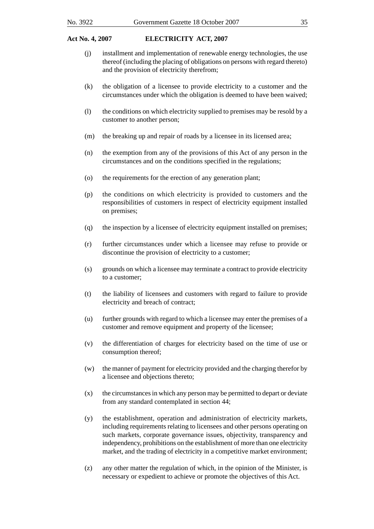- (j) installment and implementation of renewable energy technologies, the use thereof (including the placing of obligations on persons with regard thereto) and the provision of electricity therefrom;
- (k) the obligation of a licensee to provide electricity to a customer and the circumstances under which the obligation is deemed to have been waived;
- (l) the conditions on which electricity supplied to premises may be resold by a customer to another person;
- (m) the breaking up and repair of roads by a licensee in its licensed area;
- (n) the exemption from any of the provisions of this Act of any person in the circumstances and on the conditions specified in the regulations;
- (o) the requirements for the erection of any generation plant;
- (p) the conditions on which electricity is provided to customers and the responsibilities of customers in respect of electricity equipment installed on premises;
- (q) the inspection by a licensee of electricity equipment installed on premises;
- (r) further circumstances under which a licensee may refuse to provide or discontinue the provision of electricity to a customer;
- (s) grounds on which a licensee may terminate a contract to provide electricity to a customer;
- (t) the liability of licensees and customers with regard to failure to provide electricity and breach of contract;
- (u) further grounds with regard to which a licensee may enter the premises of a customer and remove equipment and property of the licensee;
- (v) the differentiation of charges for electricity based on the time of use or consumption thereof;
- (w) the manner of payment for electricity provided and the charging therefor by a licensee and objections thereto;
- (x) the circumstances in which any person may be permitted to depart or deviate from any standard contemplated in section 44;
- (y) the establishment, operation and administration of electricity markets, including requirements relating to licensees and other persons operating on such markets, corporate governance issues, objectivity, transparency and independency, prohibitions on the establishment of more than one electricity market, and the trading of electricity in a competitive market environment;
- (z) any other matter the regulation of which, in the opinion of the Minister, is necessary or expedient to achieve or promote the objectives of this Act.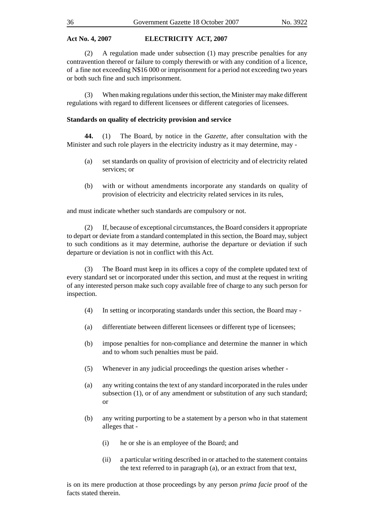(2) A regulation made under subsection (1) may prescribe penalties for any contravention thereof or failure to comply therewith or with any condition of a licence, of a fine not exceeding N\$16 000 or imprisonment for a period not exceeding two years or both such fine and such imprisonment.

(3) When making regulations under this section, the Minister may make different regulations with regard to different licensees or different categories of licensees.

#### **Standards on quality of electricity provision and service**

**44.** (1) The Board, by notice in the *Gazette*, after consultation with the Minister and such role players in the electricity industry as it may determine, may -

- (a) set standards on quality of provision of electricity and of electricity related services; or
- (b) with or without amendments incorporate any standards on quality of provision of electricity and electricity related services in its rules,

and must indicate whether such standards are compulsory or not.

(2) If, because of exceptional circumstances, the Board considers it appropriate to depart or deviate from a standard contemplated in this section, the Board may, subject to such conditions as it may determine, authorise the departure or deviation if such departure or deviation is not in conflict with this Act.

(3) The Board must keep in its offices a copy of the complete updated text of every standard set or incorporated under this section, and must at the request in writing of any interested person make such copy available free of charge to any such person for inspection.

- (4) In setting or incorporating standards under this section, the Board may -
- (a) differentiate between different licensees or different type of licensees;
- (b) impose penalties for non-compliance and determine the manner in which and to whom such penalties must be paid.
- (5) Whenever in any judicial proceedings the question arises whether -
- (a) any writing contains the text of any standard incorporated in the rules under subsection (1), or of any amendment or substitution of any such standard; or
- (b) any writing purporting to be a statement by a person who in that statement alleges that -
	- (i) he or she is an employee of the Board; and
	- (ii) a particular writing described in or attached to the statement contains the text referred to in paragraph (a), or an extract from that text,

is on its mere production at those proceedings by any person *prima facie* proof of the facts stated therein.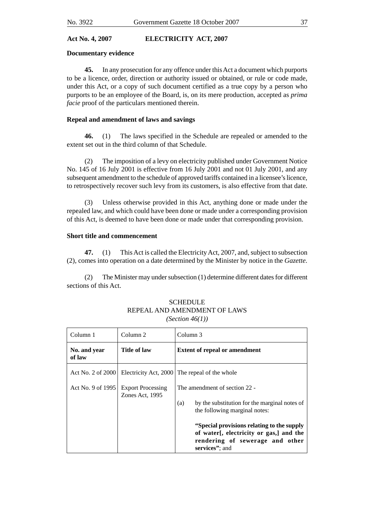#### **Documentary evidence**

**45.** In any prosecution for any offence under this Act a document which purports to be a licence, order, direction or authority issued or obtained, or rule or code made, under this Act, or a copy of such document certified as a true copy by a person who purports to be an employee of the Board, is, on its mere production, accepted as *prima facie* proof of the particulars mentioned therein.

#### **Repeal and amendment of laws and savings**

**46.** (1) The laws specified in the Schedule are repealed or amended to the extent set out in the third column of that Schedule.

(2) The imposition of a levy on electricity published under Government Notice No. 145 of 16 July 2001 is effective from 16 July 2001 and not 01 July 2001, and any subsequent amendment to the schedule of approved tariffs contained in a licensee's licence, to retrospectively recover such levy from its customers, is also effective from that date.

(3) Unless otherwise provided in this Act, anything done or made under the repealed law, and which could have been done or made under a corresponding provision of this Act, is deemed to have been done or made under that corresponding provision.

#### **Short title and commencement**

**47.** (1) This Act is called the Electricity Act, 2007, and, subject to subsection (2), comes into operation on a date determined by the Minister by notice in the *Gazette*.

(2) The Minister may under subsection (1) determine different dates for different sections of this Act.

| Column 1               | Column 2                                    | Column 3                                                                                                                                    |  |  |
|------------------------|---------------------------------------------|---------------------------------------------------------------------------------------------------------------------------------------------|--|--|
| No. and year<br>of law | Title of law                                | <b>Extent of repeal or amendment</b>                                                                                                        |  |  |
| Act No. 2 of 2000      |                                             | Electricity Act, 2000 The repeal of the whole                                                                                               |  |  |
| Act No. 9 of 1995      | <b>Export Processing</b><br>Zones Act, 1995 | The amendment of section 22 -                                                                                                               |  |  |
|                        |                                             | by the substitution for the marginal notes of<br>(a)<br>the following marginal notes:                                                       |  |  |
|                        |                                             | "Special provisions relating to the supply"<br>of water[, electricity or gas,] and the<br>rendering of sewerage and other<br>services"; and |  |  |

#### **SCHEDULE** REPEAL AND AMENDMENT OF LAWS *(Section 46(1))*